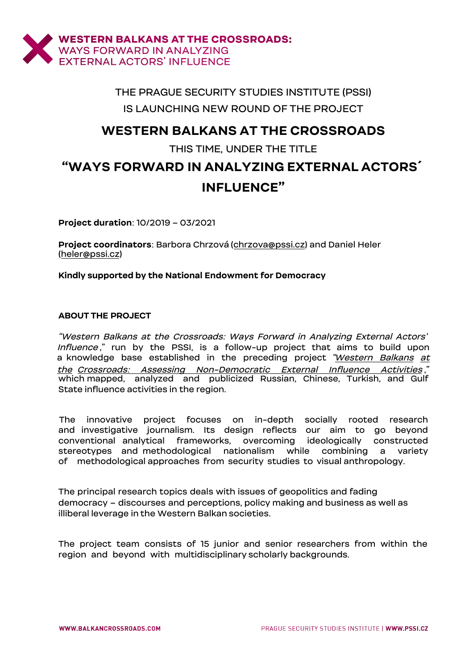

## THE PRAGUE SECURITY STUDIES INSTITUTE (PSSI) IS LAUNCHING NEW ROUND OF THE PROJECT

## **WESTERN BALKANS AT THE [CROSSROA](http://www.balkancrossroads.com/)DS**

### THIS TIME, UNDER THE TITLE

# **"WAYS FORWARD IN ANALYZING EXTERNAL ACTORS´ INFLUENCE"**

**Project duration**: 10/2019 – 03/2021

**Project coordinators**: Barbor[a Chrzová \(chr](mailto:chrzova@pssi.cz)zova@pssi.cz) and [Daniel](mailto:heler@pssi.cz) Heler (heler@pssi.cz)

**Kindly supported by the National Endowment for Democracy**

### **ABOUT THE PROJECT**

"Western Balkans at the Crossroads: Ways Forward in Analyzing E[xternal Actors](http://www.balkancrossroads.com/)' Influence[," run by the PSSI, is a follow-up project th](http://www.balkancrossroads.com/)at aims to build upon [a knowledge base established in the preceding project "](http://www.balkancrossroads.com/)Western Balkans at the Crossroads: Assessing Non-Democratic External Influence Activities ," which mapped, analyzed and publicized Russian, Chinese, Turkish, and Gulf State influence activities in the region.

The innovative project focuses on in-depth socially rooted research and investigative journalism. Its design reflects our aim to go beyond conventional analytical frameworks, overcoming ideologically constructed stereotypes and methodological nationalism while combining a variety of methodological approaches from security studies to visual anthropology.

The principal research topics deals with issues of geopolitics and fading democracy – discourses and perceptions, policy making and business as well as illiberal leverage in the Western Balkan societies.

The project team consists of 15 junior and senior researchers from within the region and beyond with multidisciplinary scholarly backgrounds.